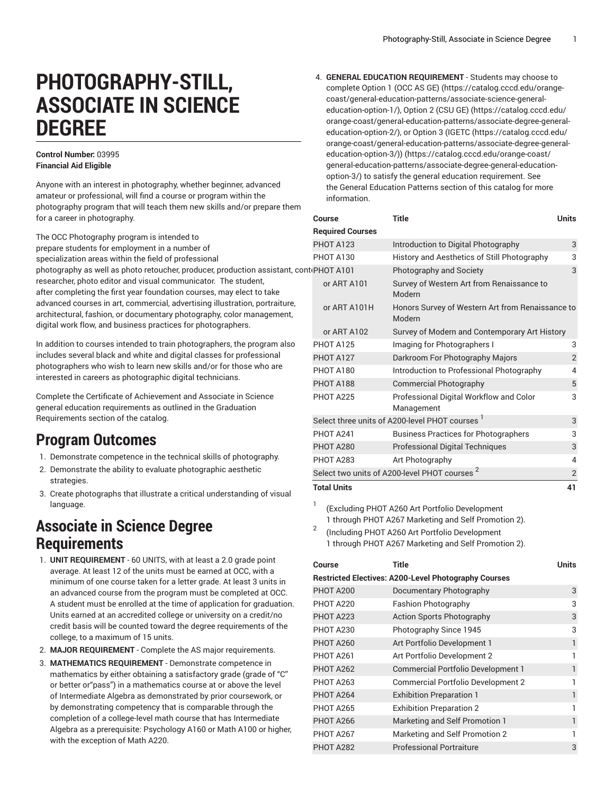# **PHOTOGRAPHY-STILL, ASSOCIATE IN SCIENCE DEGREE**

### **Control Number:** 03995 **Financial Aid Eligible**

Anyone with an interest in photography, whether beginner, advanced amateur or professional, will find a course or program within the photography program that will teach them new skills and/or prepare them for a career in photography.

The OCC Photography program is intended to prepare students for employment in a number of specialization areas within the field of professional photography as well as photo retoucher, producer, production assistant, cont researcher, photo editor and visual communicator. The student, after completing the first year foundation courses, may elect to take advanced courses in art, commercial, advertising illustration, portraiture, architectural, fashion, or documentary photography, color management, digital work flow, and business practices for photographers.

In addition to courses intended to train photographers, the program also includes several black and white and digital classes for professional photographers who wish to learn new skills and/or for those who are interested in careers as photographic digital technicians.

Complete the Certificate of Achievement and Associate in Science general education requirements as outlined in the Graduation Requirements section of the catalog.

## **Program Outcomes**

- 1. Demonstrate competence in the technical skills of photography.
- 2. Demonstrate the ability to evaluate photographic aesthetic strategies.
- 3. Create photographs that illustrate a critical understanding of visual language.

# **Associate in Science Degree Requirements**

- 1. **UNIT REQUIREMENT** 60 UNITS, with at least a 2.0 grade point average. At least 12 of the units must be earned at OCC, with a minimum of one course taken for a letter grade. At least 3 units in an advanced course from the program must be completed at OCC. A student must be enrolled at the time of application for graduation. Units earned at an accredited college or university on a credit/no credit basis will be counted toward the degree requirements of the college, to a maximum of 15 units.
- 2. **MAJOR REQUIREMENT** Complete the AS major requirements.
- 3. **MATHEMATICS REQUIREMENT** Demonstrate competence in mathematics by either obtaining a satisfactory grade (grade of "C" or better or"pass") in a mathematics course at or above the level of Intermediate Algebra as demonstrated by prior coursework, or by demonstrating competency that is comparable through the completion of a college-level math course that has Intermediate Algebra as a prerequisite: Psychology A160 or Math A100 or higher, with the exception of Math A220.

4. **GENERAL EDUCATION REQUIREMENT** - Students may choose to complete [Option 1 \(OCC AS GE\)](https://catalog.cccd.edu/orange-coast/general-education-patterns/associate-science-general-education-option-1/) [\(https://catalog.cccd.edu/orange](https://catalog.cccd.edu/orange-coast/general-education-patterns/associate-science-general-education-option-1/)[coast/general-education-patterns/associate-science-general](https://catalog.cccd.edu/orange-coast/general-education-patterns/associate-science-general-education-option-1/)[education-option-1/](https://catalog.cccd.edu/orange-coast/general-education-patterns/associate-science-general-education-option-1/)), [Option 2 \(CSU GE\) \(https://catalog.cccd.edu/](https://catalog.cccd.edu/orange-coast/general-education-patterns/associate-degree-general-education-option-2/) [orange-coast/general-education-patterns/associate-degree-general](https://catalog.cccd.edu/orange-coast/general-education-patterns/associate-degree-general-education-option-2/)[education-option-2/](https://catalog.cccd.edu/orange-coast/general-education-patterns/associate-degree-general-education-option-2/)), or Option 3 [\(IGETC](https://catalog.cccd.edu/orange-coast/general-education-patterns/associate-degree-general-education-option-3/) ([https://catalog.cccd.edu/](https://catalog.cccd.edu/orange-coast/general-education-patterns/associate-degree-general-education-option-3/) [orange-coast/general-education-patterns/associate-degree-general](https://catalog.cccd.edu/orange-coast/general-education-patterns/associate-degree-general-education-option-3/)[education-option-3/\)\) \(https://catalog.cccd.edu/orange-coast/](https://catalog.cccd.edu/orange-coast/general-education-patterns/associate-degree-general-education-option-3/) [general-education-patterns/associate-degree-general-education](https://catalog.cccd.edu/orange-coast/general-education-patterns/associate-degree-general-education-option-3/)[option-3/](https://catalog.cccd.edu/orange-coast/general-education-patterns/associate-degree-general-education-option-3/)) to satisfy the general education requirement. See the General Education Patterns section of this catalog for more information.

| Course                  | Title<br><b>Units</b>                                      |                |
|-------------------------|------------------------------------------------------------|----------------|
| <b>Required Courses</b> |                                                            |                |
| <b>PHOT A123</b>        | Introduction to Digital Photography                        | 3              |
| PHOT A130               | History and Aesthetics of Still Photography                |                |
| PHOT A101               | Photography and Society                                    | 3              |
| or ART A101             | Survey of Western Art from Renaissance to<br>Modern        |                |
| or ART A101H            | Honors Survey of Western Art from Renaissance to<br>Modern |                |
| or ART A102             | Survey of Modern and Contemporary Art History              |                |
| <b>PHOT A125</b>        | Imaging for Photographers I                                | 3              |
| <b>PHOT A127</b>        | Darkroom For Photography Majors                            | $\overline{2}$ |
| PHOT A180               | Introduction to Professional Photography                   |                |
| PHOT A188               | <b>Commercial Photography</b>                              |                |
| PHOT A225               | Professional Digital Workflow and Color<br>Management      |                |
|                         | Select three units of A200-level PHOT courses <sup>1</sup> | 3              |
| PHOT A241               | <b>Business Practices for Photographers</b>                | 3              |
| PHOT A280               | <b>Professional Digital Techniques</b>                     |                |
| PHOT A283               | Art Photography                                            | 4              |
|                         | Select two units of A200-level PHOT courses                | $\overline{2}$ |
| <b>Total Units</b>      |                                                            | 41             |

- 1 (Excluding PHOT A260 Art Portfolio Development 1 through PHOT A267 Marketing and Self Promotion 2).
- 2 (Including PHOT A260 Art Portfolio Development 1 through PHOT A267 Marketing and Self Promotion 2).

| Course           | Title                                                       | Units |
|------------------|-------------------------------------------------------------|-------|
|                  | <b>Restricted Electives: A200-Level Photography Courses</b> |       |
| PHOT A200        | Documentary Photography                                     | 3     |
| PHOT A220        | Fashion Photography                                         | 3     |
| PHOT A223        | <b>Action Sports Photography</b>                            | 3     |
| PHOT A230        | Photography Since 1945                                      | 3     |
| PHOT A260        | Art Portfolio Development 1                                 | 1     |
| PHOT A261        | Art Portfolio Development 2                                 | 1     |
| PHOT A262        | <b>Commercial Portfolio Development 1</b>                   | 1     |
| <b>PHOT A263</b> | <b>Commercial Portfolio Development 2</b>                   | 1     |
| PHOT A264        | <b>Exhibition Preparation 1</b>                             | 1     |
| PHOT A265        | <b>Exhibition Preparation 2</b>                             | 1     |
| PHOT A266        | Marketing and Self Promotion 1                              | 1     |
| PHOT A267        | Marketing and Self Promotion 2                              | 1     |
| PHOT A282        | <b>Professional Portraiture</b>                             | 3     |
|                  |                                                             |       |